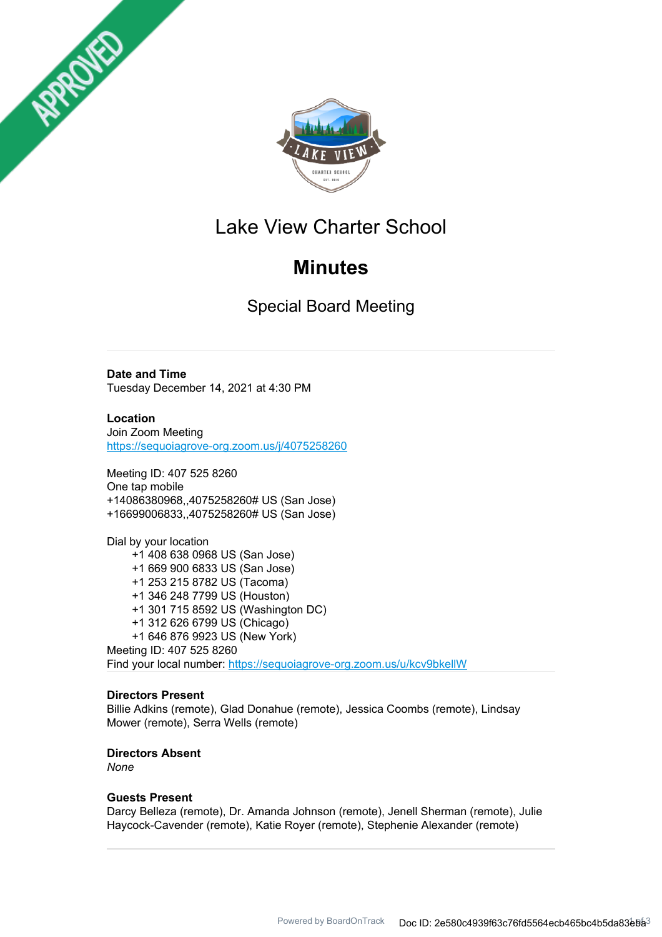



# Lake View Charter School

# **Minutes**

Special Board Meeting

**Date and Time**

Tuesday December 14, 2021 at 4:30 PM

**Location** Join Zoom Meeting https://sequoiagrove-org.zoom.us/j/4075258260

Meeting ID: 407 525 8260 One tap mobile +14086380968,,4075258260# US (San Jose) +16699006833,,4075258260# US (San Jose)

Dial by your location +1 408 638 0968 US (San Jose) +1 669 900 6833 US (San Jose) +1 253 215 8782 US (Tacoma) +1 346 248 7799 US (Houston) +1 301 715 8592 US (Washington DC) +1 312 626 6799 US (Chicago) +1 646 876 9923 US (New York) Meeting ID: 407 525 8260 Find your local number: https://sequoiagrove-org.zoom.us/u/kcv9bkellW

### **Directors Present**

Billie Adkins (remote), Glad Donahue (remote), Jessica Coombs (remote), Lindsay Mower (remote), Serra Wells (remote)

### **Directors Absent**

*None*

### **Guests Present**

Darcy Belleza (remote), Dr. Amanda Johnson (remote), Jenell Sherman (remote), Julie Haycock-Cavender (remote), Katie Royer (remote), Stephenie Alexander (remote)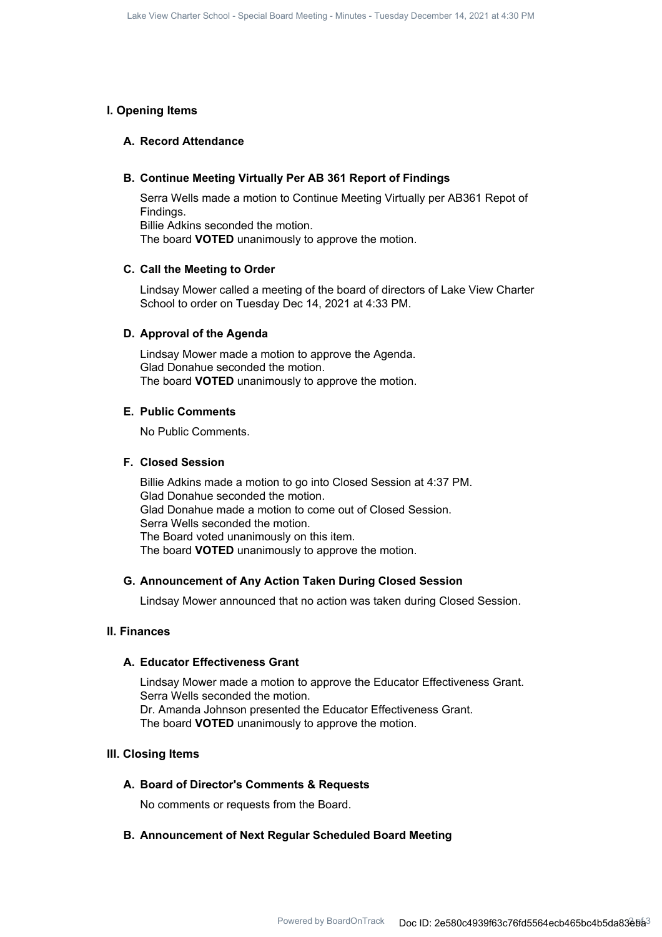#### **I. Opening Items**

#### **A. Record Attendance**

#### **B. Continue Meeting Virtually Per AB 361 Report of Findings**

Serra Wells made a motion to Continue Meeting Virtually per AB361 Repot of Findings. Billie Adkins seconded the motion. The board **VOTED** unanimously to approve the motion.

#### **C. Call the Meeting to Order**

Lindsay Mower called a meeting of the board of directors of Lake View Charter School to order on Tuesday Dec 14, 2021 at 4:33 PM.

#### **D. Approval of the Agenda**

Lindsay Mower made a motion to approve the Agenda. Glad Donahue seconded the motion. The board **VOTED** unanimously to approve the motion.

#### **E. Public Comments**

No Public Comments.

#### **F. Closed Session**

Billie Adkins made a motion to go into Closed Session at 4:37 PM. Glad Donahue seconded the motion. Glad Donahue made a motion to come out of Closed Session. Serra Wells seconded the motion. The Board voted unanimously on this item. The board **VOTED** unanimously to approve the motion.

#### **G. Announcement of Any Action Taken During Closed Session**

Lindsay Mower announced that no action was taken during Closed Session.

#### **II. Finances**

#### **A. Educator Effectiveness Grant**

Lindsay Mower made a motion to approve the Educator Effectiveness Grant. Serra Wells seconded the motion. Dr. Amanda Johnson presented the Educator Effectiveness Grant. The board **VOTED** unanimously to approve the motion.

#### **III. Closing Items**

#### **A. Board of Director's Comments & Requests**

No comments or requests from the Board.

#### **B. Announcement of Next Regular Scheduled Board Meeting**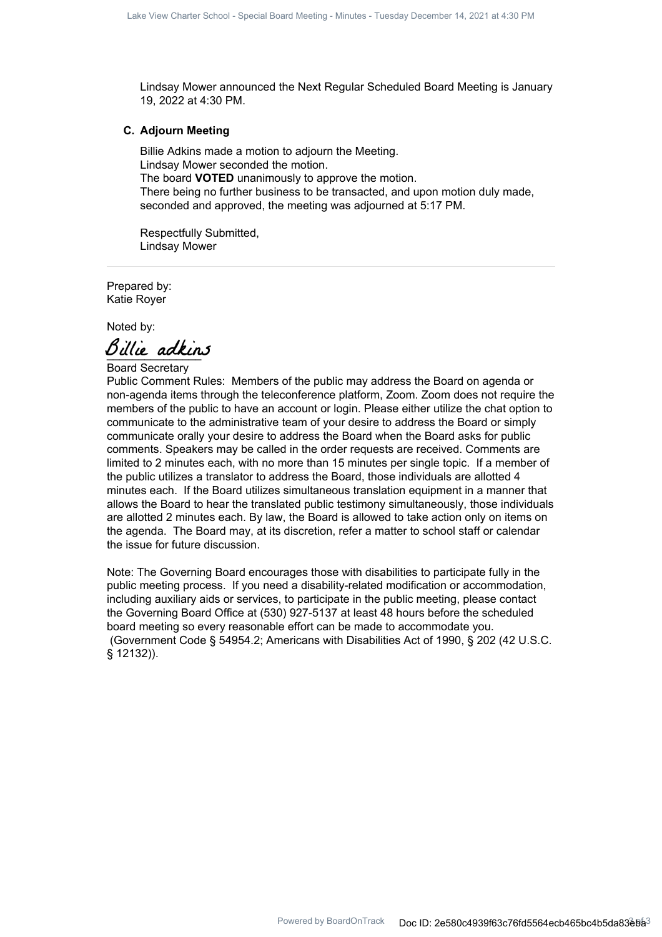Lindsay Mower announced the Next Regular Scheduled Board Meeting is January 19, 2022 at 4:30 PM.

#### **C. Adjourn Meeting**

Billie Adkins made a motion to adjourn the Meeting. Lindsay Mower seconded the motion. The board **VOTED** unanimously to approve the motion. There being no further business to be transacted, and upon motion duly made, seconded and approved, the meeting was adjourned at 5:17 PM.

Respectfully Submitted, Lindsay Mower

Prepared by: Katie Royer

Noted by:

Billie adkins

Board Secretary

Public Comment Rules: Members of the public may address the Board on agenda or non-agenda items through the teleconference platform, Zoom. Zoom does not require the members of the public to have an account or login. Please either utilize the chat option to communicate to the administrative team of your desire to address the Board or simply communicate orally your desire to address the Board when the Board asks for public comments. Speakers may be called in the order requests are received. Comments are limited to 2 minutes each, with no more than 15 minutes per single topic. If a member of the public utilizes a translator to address the Board, those individuals are allotted 4 minutes each. If the Board utilizes simultaneous translation equipment in a manner that allows the Board to hear the translated public testimony simultaneously, those individuals are allotted 2 minutes each. By law, the Board is allowed to take action only on items on the agenda. The Board may, at its discretion, refer a matter to school staff or calendar the issue for future discussion.

Note: The Governing Board encourages those with disabilities to participate fully in the public meeting process. If you need a disability-related modification or accommodation, including auxiliary aids or services, to participate in the public meeting, please contact the Governing Board Office at (530) 927-5137 at least 48 hours before the scheduled board meeting so every reasonable effort can be made to accommodate you. (Government Code § 54954.2; Americans with Disabilities Act of 1990, § 202 (42 U.S.C. § 12132)).